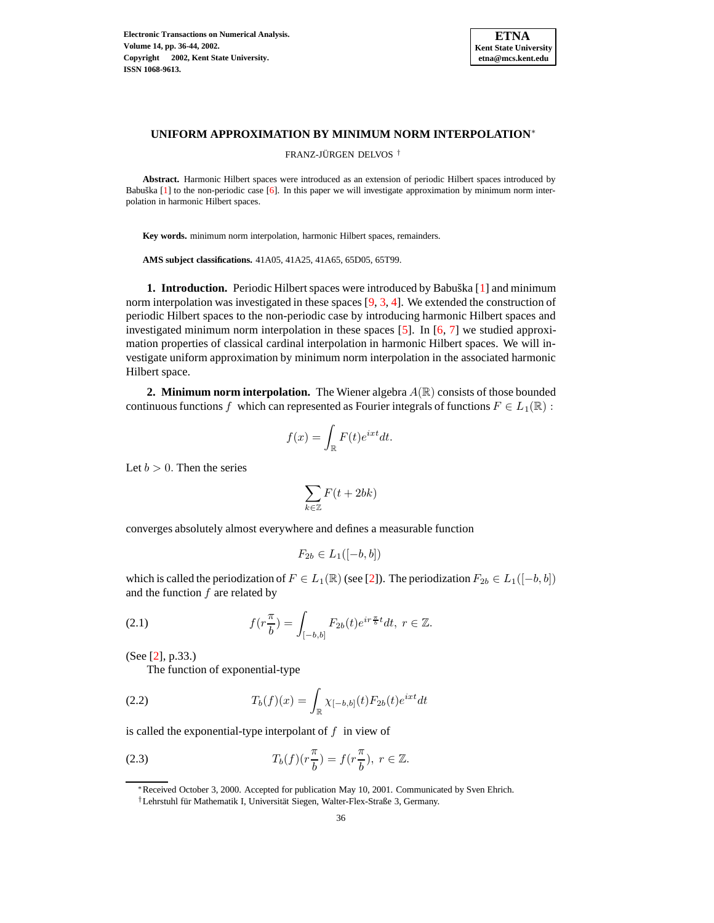

## **UNIFORM APPROXIMATION BY MINIMUM NORM INTERPOLATION**<sup>∗</sup>

FRANZ-JÜRGEN DELVOS<sup>†</sup>

**Abstract.** Harmonic Hilbert spaces were introduced as an extension of periodic Hilbert spaces introduced by Babuška  $[1]$  to the non-periodic case  $[6]$ . In this paper we will investigate approximation by minimum norm interpolation in harmonic Hilbert spaces.

**Key words.** minimum norm interpolation, harmonic Hilbert spaces, remainders.

**AMS subject classifications.** 41A05, 41A25, 41A65, 65D05, 65T99.

**1. Introduction.** Periodic Hilbert spaces were introduced by Babuška [\[1\]](#page-8-0) and minimum norm interpolation was investigated in these spaces [\[9,](#page-8-2) [3,](#page-8-3) [4\]](#page-8-4). We extended the construction of periodic Hilbert spaces to the non-periodic case by introducing harmonic Hilbert spaces and investigated minimum norm interpolation in these spaces  $[5]$ . In  $[6, 7]$  $[6, 7]$  $[6, 7]$  we studied approximation properties of classical cardinal interpolation in harmonic Hilbert spaces. We will investigate uniform approximation by minimum norm interpolation in the associated harmonic Hilbert space.

**2. Minimum norm interpolation.** The Wiener algebra  $A(\mathbb{R})$  consists of those bounded continuous functions f which can represented as Fourier integrals of functions  $F \in L_1(\mathbb{R})$ :

$$
f(x) = \int_{\mathbb{R}} F(t)e^{ixt}dt.
$$

Let  $b > 0$ . Then the series

$$
\sum_{k \in \mathbb{Z}} F(t + 2bk)
$$

converges absolutely almost everywhere and defines a measurable function

$$
F_{2b} \in L_1([-b, b])
$$

which is called the periodization of  $F \in L_1(\mathbb{R})$  (see [\[2\]](#page-8-7)). The periodization  $F_{2b} \in L_1([-b, b])$ and the function  $f$  are related by

(2.1) 
$$
f(r\frac{\pi}{b}) = \int_{[-b,b]} F_{2b}(t)e^{ir\frac{\pi}{b}t}dt, \ r \in \mathbb{Z}.
$$

(See [\[2\]](#page-8-7), p.33.)

The function of exponential-type

(2.2) 
$$
T_b(f)(x) = \int_{\mathbb{R}} \chi_{[-b,b]}(t) F_{2b}(t) e^{ixt} dt
$$

is called the exponential-type interpolant of  $f$  in view of

(2.3) 
$$
T_b(f)(r\frac{\pi}{b}) = f(r\frac{\pi}{b}), \ r \in \mathbb{Z}.
$$

<sup>∗</sup>Received October 3, 2000. Accepted for publication May 10, 2001. Communicated by Sven Ehrich.

<sup>&</sup>lt;sup>†</sup>Lehrstuhl für Mathematik I, Universität Siegen, Walter-Flex-Straße 3, Germany.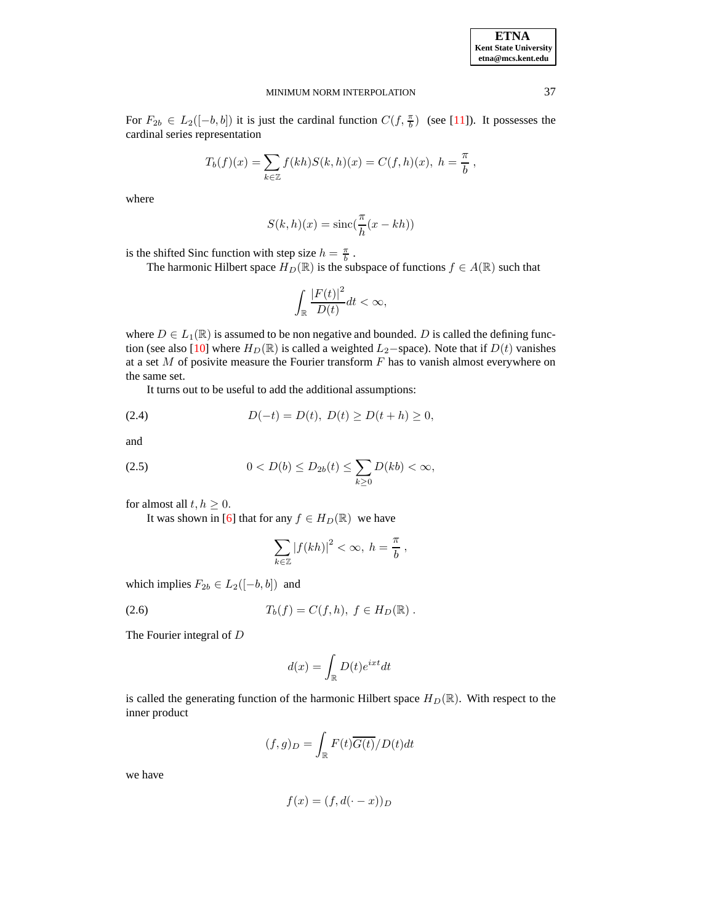| <b>ETNA</b>           |
|-----------------------|
| Kent State University |
| etna@mcs.kent.edu     |

For  $F_{2b} \in L_2([-b, b])$  it is just the cardinal function  $C(f, \frac{\pi}{b})$  (see [\[11\]](#page-8-8)). It possesses the cardinal series representation

$$
T_b(f)(x) = \sum_{k \in \mathbb{Z}} f(kh)S(k, h)(x) = C(f, h)(x), \ h = \frac{\pi}{b},
$$

where

$$
S(k,h)(x) = \operatorname{sinc}(\frac{\pi}{h}(x - kh))
$$

is the shifted Sinc function with step size  $h = \frac{\pi}{b}$ .

The harmonic Hilbert space  $H_D(\mathbb{R})$  is the subspace of functions  $f \in A(\mathbb{R})$  such that

$$
\int_{\mathbb{R}}\frac{\left|F(t)\right|^{2}}{D(t)}dt < \infty,
$$

where  $D \in L_1(\mathbb{R})$  is assumed to be non negative and bounded. D is called the defining func-tion (see also [\[10\]](#page-8-9) where  $H_D(\mathbb{R})$  is called a weighted  $L_2$ −space). Note that if  $D(t)$  vanishes at a set  $M$  of posivite measure the Fourier transform  $F$  has to vanish almost everywhere on the same set.

It turns out to be useful to add the additional assumptions:

(2.4) 
$$
D(-t) = D(t), D(t) \ge D(t+h) \ge 0,
$$

and

(2.5) 
$$
0 < D(b) \le D_{2b}(t) \le \sum_{k \ge 0} D(kb) < \infty,
$$

for almost all  $t, h \geq 0$ .

It was shown in [\[6\]](#page-8-1) that for any  $f \in H_D(\mathbb{R})$  we have

$$
\sum_{k\in\mathbb{Z}}|f(kh)|^2<\infty,\ h=\frac{\pi}{b}\ ,
$$

which implies  $F_{2b} \in L_2([-b, b])$  and

(2.6) 
$$
T_b(f) = C(f, h), \ f \in H_D(\mathbb{R}).
$$

The Fourier integral of D

$$
d(x) = \int_{\mathbb{R}} D(t)e^{ixt}dt
$$

is called the generating function of the harmonic Hilbert space  $H_D(\mathbb{R})$ . With respect to the inner product

$$
(f,g)_D = \int_{\mathbb{R}} F(t) \overline{G(t)} / D(t) dt
$$

we have

$$
f(x) = (f, d(\cdot - x))_D
$$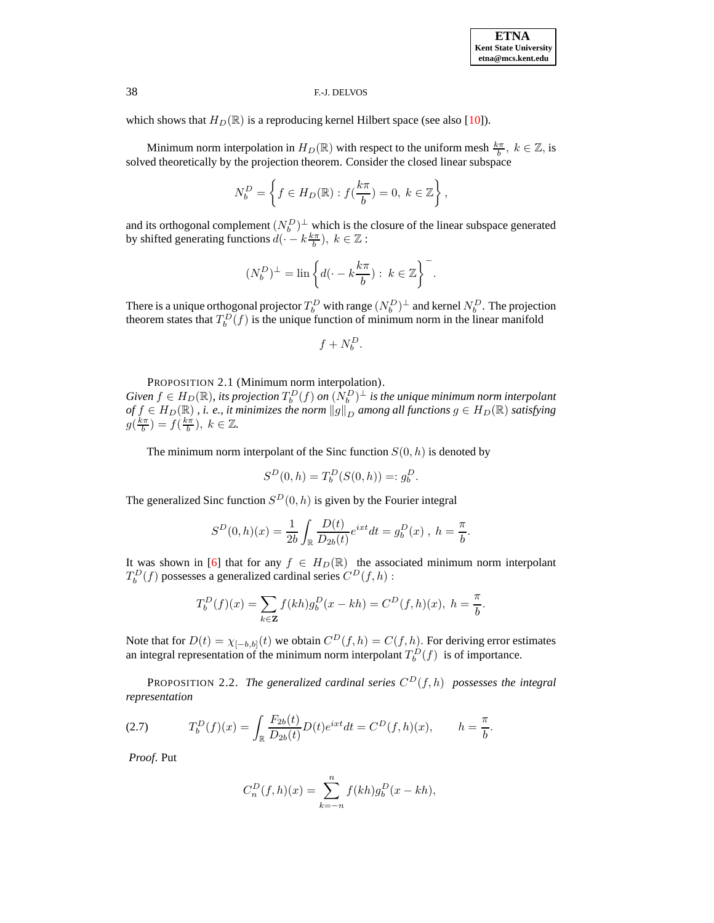which shows that  $H_D(\mathbb{R})$  is a reproducing kernel Hilbert space (see also [\[10\]](#page-8-9)).

Minimum norm interpolation in  $H_D(\mathbb{R})$  with respect to the uniform mesh  $\frac{k\pi}{b}$ ,  $k \in \mathbb{Z}$ , is solved theoretically by the projection theorem. Consider the closed linear subspace

$$
N_b^D = \left\{ f \in H_D(\mathbb{R}) : f(\frac{k\pi}{b}) = 0, \ k \in \mathbb{Z} \right\},\
$$

and its orthogonal complement  $(N_b^D)^{\perp}$  which is the closure of the linear subspace generated by shifted generating functions  $d(-k\frac{k\pi}{b}), k \in \mathbb{Z}$ :

$$
(N_b^D)^\perp = \mathrm{lin}\left\{d(\cdot - k\frac{k\pi}{b}):\ k\in\mathbb{Z}\right\}^-.
$$

There is a unique orthogonal projector  $T_b^D$  with range  $(N_b^D)^{\perp}$  and kernel  $N_b^D$ . The projection theorem states that  $T_b^D(f)$  is the unique function of minimum norm in the linear manifold

$$
f+N_b^D.
$$

PROPOSITION 2.1 (Minimum norm interpolation).

 $Given \ f \in H_D(\mathbb{R})$ , its projection  $T_b^D(f)$  on  $(N_b^D)^{\perp}$  is the unique minimum norm interpolant  $of$   $f \in$   $H_D(\mathbb{R})$  ,  $i.$   $e.,$  *it minimizes the norm*  $\|g\|_D$  *among all functions*  $g \in$   $H_D(\mathbb{R})$  *satisfying*  $g(\frac{k\pi}{b}) = f(\frac{k\pi}{b}), k \in \mathbb{Z}$ .

The minimum norm interpolant of the Sinc function  $S(0, h)$  is denoted by

$$
S^{D}(0,h) = T_{b}^{D}(S(0,h)) =: g_{b}^{D}.
$$

The generalized Sinc function  $S^D(0, h)$  is given by the Fourier integral

$$
S^{D}(0,h)(x) = \frac{1}{2b} \int_{\mathbb{R}} \frac{D(t)}{D_{2b}(t)} e^{ixt} dt = g_b^{D}(x) , h = \frac{\pi}{b}.
$$

It was shown in [\[6\]](#page-8-1) that for any  $f \in H_D(\mathbb{R})$  the associated minimum norm interpolant  $T_b^D(f)$  possesses a generalized cardinal series  $C^D(f, h)$  :

$$
T_b^D(f)(x) = \sum_{k \in \mathbf{Z}} f(kh)g_b^D(x - kh) = C^D(f, h)(x), \ h = \frac{\pi}{b}.
$$

Note that for  $D(t) = \chi_{[-b,b]}(t)$  we obtain  $C^D(f, h) = C(f, h)$ . For deriving error estimates an integral representation of the minimum norm interpolant  $T_b^D(f)$  is of importance.

PROPOSITION 2.2. *The generalized cardinal series* C <sup>D</sup>(f, h) *possesses the integral representation*

(2.7) 
$$
T_b^D(f)(x) = \int_{\mathbb{R}} \frac{F_{2b}(t)}{D_{2b}(t)} D(t) e^{ixt} dt = C^D(f, h)(x), \qquad h = \frac{\pi}{b}.
$$

*Proof*. Put

$$
C_n^D(f, h)(x) = \sum_{k=-n}^n f(kh)g_b^D(x - kh),
$$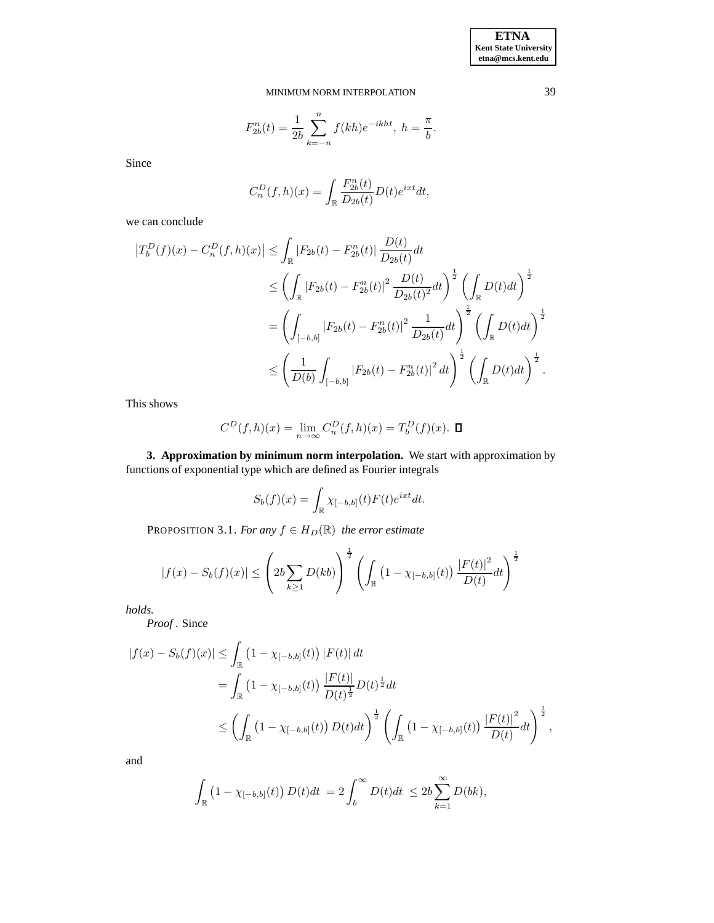$$
F_{2b}^{n}(t) = \frac{1}{2b} \sum_{k=-n}^{n} f(kh)e^{-ikht}, \; h = \frac{\pi}{b}.
$$

Since

$$
C_n^D(f, h)(x) = \int_{\mathbb{R}} \frac{F_{2b}^n(t)}{D_{2b}(t)} D(t)e^{ixt} dt,
$$

we can conclude

$$
\begin{split} \left|T_{b}^{D}(f)(x)-C_{n}^{D}(f,h)(x)\right| &\leq \int_{\mathbb{R}}\left|F_{2b}(t)-F_{2b}^{n}(t)\right|\frac{D(t)}{D_{2b}(t)}dt\\ &\leq \left(\int_{\mathbb{R}}\left|F_{2b}(t)-F_{2b}^{n}(t)\right|^{2}\frac{D(t)}{D_{2b}(t)^{2}}dt\right)^{\frac{1}{2}}\left(\int_{\mathbb{R}}D(t)dt\right)^{\frac{1}{2}}\\ &=\left(\int_{[-b,b]}|F_{2b}(t)-F_{2b}^{n}(t)|^{2}\frac{1}{D_{2b}(t)}dt\right)^{\frac{1}{2}}\left(\int_{\mathbb{R}}D(t)dt\right)^{\frac{1}{2}}\\ &\leq \left(\frac{1}{D(b)}\int_{[-b,b]}|F_{2b}(t)-F_{2b}^{n}(t)|^{2}dt\right)^{\frac{1}{2}}\left(\int_{\mathbb{R}}D(t)dt\right)^{\frac{1}{2}}.\end{split}
$$

This shows

$$
C^{D}(f, h)(x) = \lim_{n \to \infty} C_{n}^{D}(f, h)(x) = T_{b}^{D}(f)(x).
$$
  $\Box$ 

**3. Approximation by minimum norm interpolation.** We start with approximation by functions of exponential type which are defined as Fourier integrals

$$
S_b(f)(x) = \int_{\mathbb{R}} \chi_{[-b,b]}(t) F(t) e^{ixt} dt.
$$

PROPOSITION 3.1. *For any*  $f \in H_D(\mathbb{R})$  *the error estimate* 

$$
|f(x) - S_b(f)(x)| \le \left(2b \sum_{k \ge 1} D(kb)\right)^{\frac{1}{2}} \left(\int_{\mathbb{R}} \left(1 - \chi_{[-b,b]}(t)\right) \frac{|F(t)|^2}{D(t)} dt\right)^{\frac{1}{2}}
$$

*holds.*

*Proof* . Since

$$
|f(x) - S_b(f)(x)| \leq \int_{\mathbb{R}} (1 - \chi_{[-b,b]}(t)) |F(t)| dt
$$
  
= 
$$
\int_{\mathbb{R}} (1 - \chi_{[-b,b]}(t)) \frac{|F(t)|}{D(t)^{\frac{1}{2}}} D(t)^{\frac{1}{2}} dt
$$
  

$$
\leq \left( \int_{\mathbb{R}} (1 - \chi_{[-b,b]}(t)) D(t) dt \right)^{\frac{1}{2}} \left( \int_{\mathbb{R}} (1 - \chi_{[-b,b]}(t)) \frac{|F(t)|^2}{D(t)} dt \right)^{\frac{1}{2}},
$$

and

$$
\int_{\mathbb{R}} \left(1 - \chi_{[-b,b]}(t)\right) D(t)dt = 2 \int_b^{\infty} D(t)dt \le 2b \sum_{k=1}^{\infty} D(bk),
$$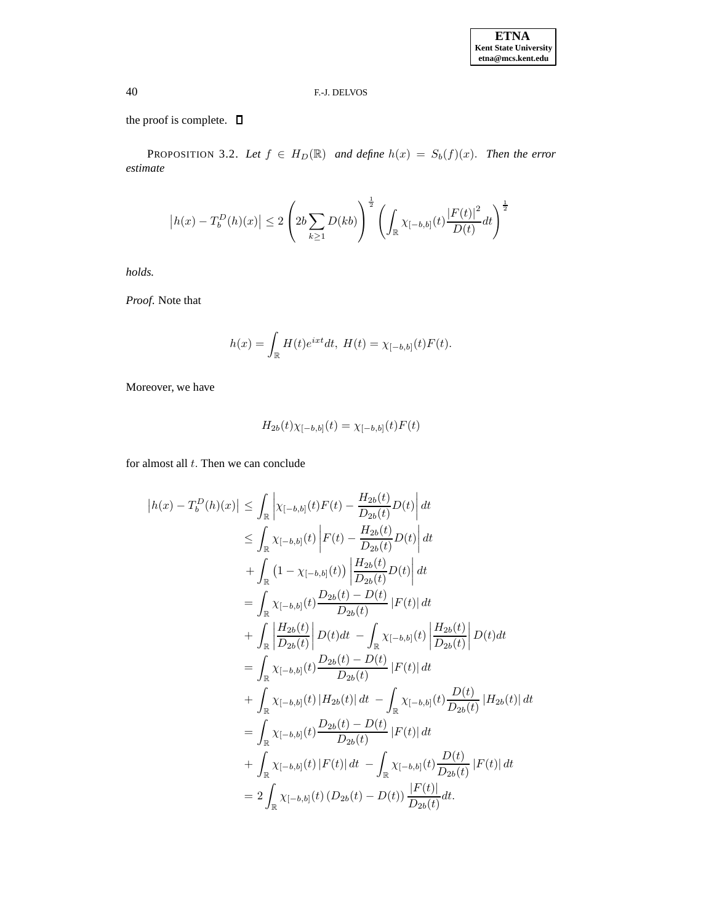the proof is complete.  $\square$ 

PROPOSITION 3.2. Let  $f \in H_D(\mathbb{R})$  and define  $h(x) = S_b(f)(x)$ . Then the error *estimate*

$$
|h(x) - T_b^D(h)(x)| \le 2 \left( 2b \sum_{k \ge 1} D(kb) \right)^{\frac{1}{2}} \left( \int_{\mathbb{R}} \chi_{[-b,b]}(t) \frac{|F(t)|^2}{D(t)} dt \right)^{\frac{1}{2}}
$$

*holds.*

*Proof*. Note that

$$
h(x) = \int_{\mathbb{R}} H(t)e^{ixt} dt, H(t) = \chi_{[-b,b]}(t)F(t).
$$

Moreover, we have

$$
H_{2b}(t)\chi_{[-b,b]}(t) = \chi_{[-b,b]}(t)F(t)
$$

for almost all  $t$ . Then we can conclude

$$
|h(x) - T_b^D(h)(x)| \leq \int_{\mathbb{R}} \left| \chi_{[-b,b]}(t)F(t) - \frac{H_{2b}(t)}{D_{2b}(t)}D(t) \right| dt
$$
  
\n
$$
\leq \int_{\mathbb{R}} \chi_{[-b,b]}(t) \left| F(t) - \frac{H_{2b}(t)}{D_{2b}(t)}D(t) \right| dt
$$
  
\n
$$
+ \int_{\mathbb{R}} (1 - \chi_{[-b,b]}(t)) \left| \frac{H_{2b}(t)}{D_{2b}(t)}D(t) \right| dt
$$
  
\n
$$
= \int_{\mathbb{R}} \chi_{[-b,b]}(t) \frac{D_{2b}(t) - D(t)}{D_{2b}(t)} |F(t)| dt
$$
  
\n
$$
+ \int_{\mathbb{R}} \left| \frac{H_{2b}(t)}{D_{2b}(t)} \right| D(t) dt - \int_{\mathbb{R}} \chi_{[-b,b]}(t) \left| \frac{H_{2b}(t)}{D_{2b}(t)} \right| D(t) dt
$$
  
\n
$$
= \int_{\mathbb{R}} \chi_{[-b,b]}(t) \frac{D_{2b}(t) - D(t)}{D_{2b}(t)} |F(t)| dt
$$
  
\n
$$
+ \int_{\mathbb{R}} \chi_{[-b,b]}(t) |H_{2b}(t)| dt - \int_{\mathbb{R}} \chi_{[-b,b]}(t) \frac{D(t)}{D_{2b}(t)} |H_{2b}(t)| dt
$$
  
\n
$$
= \int_{\mathbb{R}} \chi_{[-b,b]}(t) \frac{D_{2b}(t) - D(t)}{D_{2b}(t)} |F(t)| dt
$$
  
\n
$$
+ \int_{\mathbb{R}} \chi_{[-b,b]}(t) |F(t)| dt - \int_{\mathbb{R}} \chi_{[-b,b]}(t) \frac{D(t)}{D_{2b}(t)} |F(t)| dt
$$
  
\n
$$
= 2 \int_{\mathbb{R}} \chi_{[-b,b]}(t) (D_{2b}(t) - D(t)) \frac{|F(t)|}{D_{2b}(t)} dt.
$$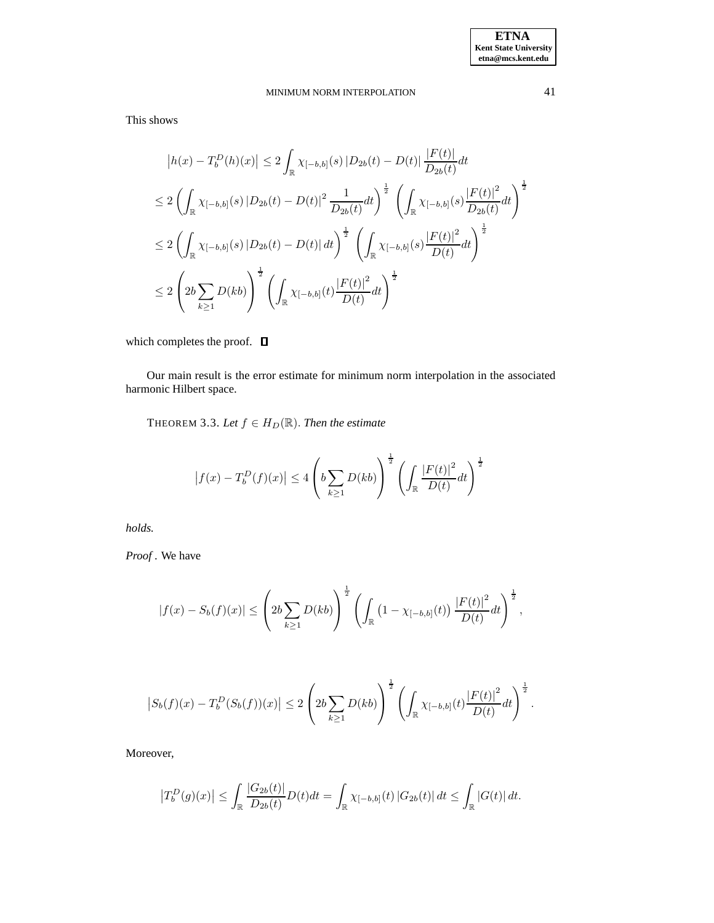This shows

$$
|h(x) - T_b^D(h)(x)| \le 2 \int_{\mathbb{R}} \chi_{[-b,b]}(s) |D_{2b}(t) - D(t)| \frac{|F(t)|}{D_{2b}(t)} dt
$$
  
\n
$$
\le 2 \left( \int_{\mathbb{R}} \chi_{[-b,b]}(s) |D_{2b}(t) - D(t)|^2 \frac{1}{D_{2b}(t)} dt \right)^{\frac{1}{2}} \left( \int_{\mathbb{R}} \chi_{[-b,b]}(s) \frac{|F(t)|^2}{D_{2b}(t)} dt \right)^{\frac{1}{2}}
$$
  
\n
$$
\le 2 \left( \int_{\mathbb{R}} \chi_{[-b,b]}(s) |D_{2b}(t) - D(t)| dt \right)^{\frac{1}{2}} \left( \int_{\mathbb{R}} \chi_{[-b,b]}(s) \frac{|F(t)|^2}{D(t)} dt \right)^{\frac{1}{2}}
$$
  
\n
$$
\le 2 \left( 2b \sum_{k \ge 1} D(kb) \right)^{\frac{1}{2}} \left( \int_{\mathbb{R}} \chi_{[-b,b]}(t) \frac{|F(t)|^2}{D(t)} dt \right)^{\frac{1}{2}}
$$

which completes the proof.  $\Box$ 

Our main result is the error estimate for minimum norm interpolation in the associated harmonic Hilbert space.

THEOREM 3.3. Let  $f \in H_D(\mathbb{R})$ . Then the estimate

$$
\left|f(x) - T_b^D(f)(x)\right| \le 4\left(b\sum_{k\ge 1} D(kb)\right)^{\frac{1}{2}} \left(\int_{\mathbb{R}} \frac{\left|F(t)\right|^2}{D(t)} dt\right)^{\frac{1}{2}}
$$

*holds.*

*Proof* . We have

$$
|f(x) - S_b(f)(x)| \leq \left(2b \sum_{k \geq 1} D(kb)\right)^{\frac{1}{2}} \left(\int_{\mathbb{R}} \left(1 - \chi_{[-b,b]}(t)\right) \frac{|F(t)|^2}{D(t)} dt\right)^{\frac{1}{2}},
$$

$$
\left|S_b(f)(x) - T_b^D(S_b(f))(x)\right| \le 2\left(2b\sum_{k\ge 1}D(kb)\right)^{\frac{1}{2}}\left(\int_{\mathbb{R}}\chi_{[-b,b]}(t)\frac{\left|F(t)\right|^2}{D(t)}dt\right)^{\frac{1}{2}}.
$$

Moreover,

$$
\left|T_b^D(g)(x)\right| \leq \int_{\mathbb{R}} \frac{|G_{2b}(t)|}{D_{2b}(t)} D(t) dt = \int_{\mathbb{R}} \chi_{[-b,b]}(t) |G_{2b}(t)| dt \leq \int_{\mathbb{R}} |G(t)| dt.
$$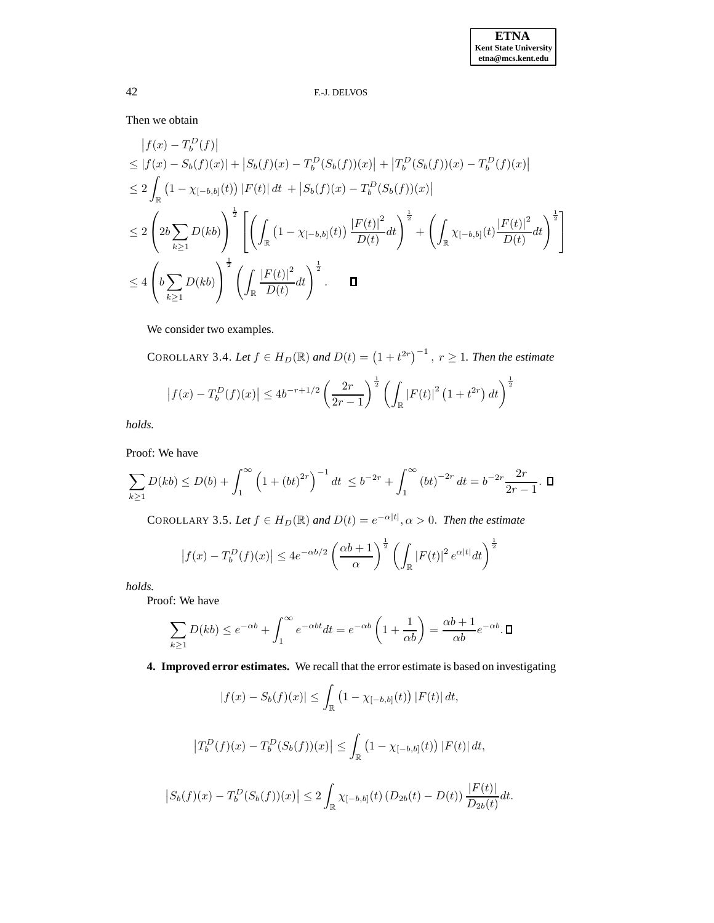Then we obtain

$$
\begin{split}\n|f(x) - T_b^D(f)| \\
&\leq |f(x) - S_b(f)(x)| + |S_b(f)(x) - T_b^D(S_b(f))(x)| + |T_b^D(S_b(f))(x) - T_b^D(f)(x)| \\
&\leq 2 \int_{\mathbb{R}} \left(1 - \chi_{[-b,b]}(t)\right) |F(t)| dt + |S_b(f)(x) - T_b^D(S_b(f))(x)| \\
&\leq 2 \left(2b \sum_{k \geq 1} D(kb)\right)^{\frac{1}{2}} \left[ \left(\int_{\mathbb{R}} \left(1 - \chi_{[-b,b]}(t)\right) \frac{|F(t)|^2}{D(t)} dt\right)^{\frac{1}{2}} + \left(\int_{\mathbb{R}} \chi_{[-b,b]}(t) \frac{|F(t)|^2}{D(t)} dt\right)^{\frac{1}{2}} \right] \\
&\leq 4 \left(b \sum_{k \geq 1} D(kb)\right)^{\frac{1}{2}} \left(\int_{\mathbb{R}} \frac{|F(t)|^2}{D(t)} dt\right)^{\frac{1}{2}}.\n\end{split}
$$

We consider two examples.

COROLLARY 3.4. Let  $f \in H_D(\mathbb{R})$  and  $D(t) = (1 + t^{2r})^{-1}$ ,  $r \ge 1$ . Then the estimate  $|f(x) - T_b^D(f)(x)| \le 4b^{-r+1/2} \left( \frac{2r}{2r-1} \right)$  $2r-1$  $\frac{1}{2}$  $\int_{\mathbb{R}}\left|F(t)\right|^{2}\left(1+t^{2r}\right)dt\bigg)^{\frac{1}{2}}$ 

*holds.*

Proof: We have

$$
\sum_{k\geq 1} D(kb) \leq D(b) + \int_1^{\infty} \left(1 + \left(bt\right)^{2r}\right)^{-1} dt \leq b^{-2r} + \int_1^{\infty} \left(bt\right)^{-2r} dt = b^{-2r} \frac{2r}{2r - 1}. \quad \Box
$$

COROLLARY 3.5. Let  $f \in H_D(\mathbb{R})$  and  $D(t) = e^{-\alpha|t|}, \alpha > 0$ . Then the estimate

$$
\left|f(x) - T_b^D(f)(x)\right| \le 4e^{-\alpha b/2} \left(\frac{\alpha b + 1}{\alpha}\right)^{\frac{1}{2}} \left(\int_{\mathbb{R}} \left|F(t)\right|^2 e^{\alpha |t|} dt\right)^{\frac{1}{2}}
$$

*holds.*

Proof: We have

$$
\sum_{k\geq 1} D(kb) \leq e^{-\alpha b} + \int_1^{\infty} e^{-\alpha b t} dt = e^{-\alpha b} \left( 1 + \frac{1}{\alpha b} \right) = \frac{\alpha b + 1}{\alpha b} e^{-\alpha b}.
$$

**4. Improved error estimates.** We recall that the error estimate is based on investigating

$$
|f(x) - S_b(f)(x)| \le \int_{\mathbb{R}} (1 - \chi_{[-b,b]}(t)) |F(t)| dt,
$$
  

$$
|T_b^D(f)(x) - T_b^D(S_b(f))(x)| \le \int_{\mathbb{R}} (1 - \chi_{[-b,b]}(t)) |F(t)| dt,
$$
  

$$
|S_b(f)(x) - T_b^D(S_b(f))(x)| \le 2 \int_{\mathbb{R}} \chi_{[-b,b]}(t) (D_{2b}(t) - D(t)) \frac{|F(t)|}{D_{2b}(t)} dt.
$$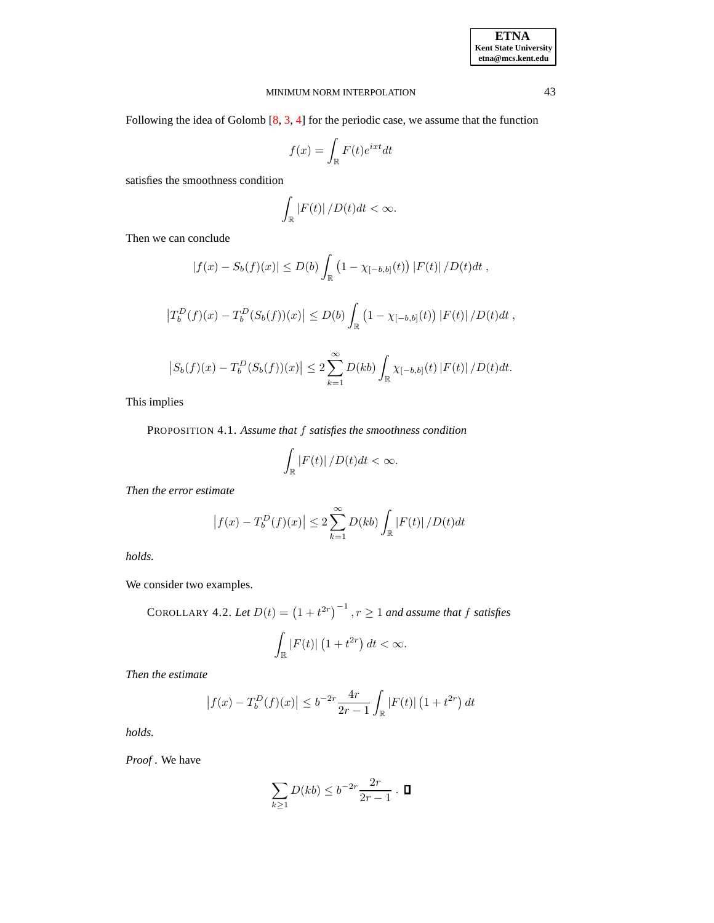Following the idea of Golomb [\[8,](#page-8-10) [3,](#page-8-3) [4\]](#page-8-4) for the periodic case, we assume that the function

$$
f(x)=\int_{\mathbb{R}}F(t)e^{ixt}dt
$$

satisfies the smoothness condition

$$
\int_{\mathbb{R}}\left|F(t)\right|/D(t)dt<\infty.
$$

Then we can conclude

 $\overline{\phantom{a}}$ 

$$
|f(x) - S_b(f)(x)| \le D(b) \int_{\mathbb{R}} \left(1 - \chi_{[-b,b]}(t)\right) |F(t)| / D(t) dt,
$$
  

$$
|T_b^D(f)(x) - T_b^D(S_b(f))(x)| \le D(b) \int_{\mathbb{R}} \left(1 - \chi_{[-b,b]}(t)\right) |F(t)| / D(t) dt,
$$
  

$$
|S_b(f)(x) - T_b^D(S_b(f))(x)| \le 2 \sum_{k=1}^{\infty} D(kb) \int_{\mathbb{R}} \chi_{[-b,b]}(t) |F(t)| / D(t) dt.
$$

This implies

PROPOSITION 4.1. *Assume that* f *satisfies the smoothness condition*

$$
\int_{\mathbb{R}} |F(t)| / D(t) dt < \infty.
$$

*Then the error estimate*

$$
|f(x) - T_b^D(f)(x)| \le 2 \sum_{k=1}^{\infty} D(kb) \int_{\mathbb{R}} |F(t)| / D(t) dt
$$

*holds.*

We consider two examples.

COROLLARY 4.2. Let 
$$
D(t) = (1 + t^{2r})^{-1}
$$
,  $r \ge 1$  and assume that f satisfies

$$
\int_{\mathbb{R}} |F(t)| \left(1 + t^{2r}\right) dt < \infty.
$$

*Then the estimate*

$$
\left|f(x) - T_b^D(f)(x)\right| \le b^{-2r} \frac{4r}{2r - 1} \int_{\mathbb{R}} |F(t)| \left(1 + t^{2r}\right) dt
$$

*holds.*

*Proof* . We have

$$
\sum_{k\geq 1} D(kb) \leq b^{-2r} \frac{2r}{2r-1} \cdot \blacksquare
$$